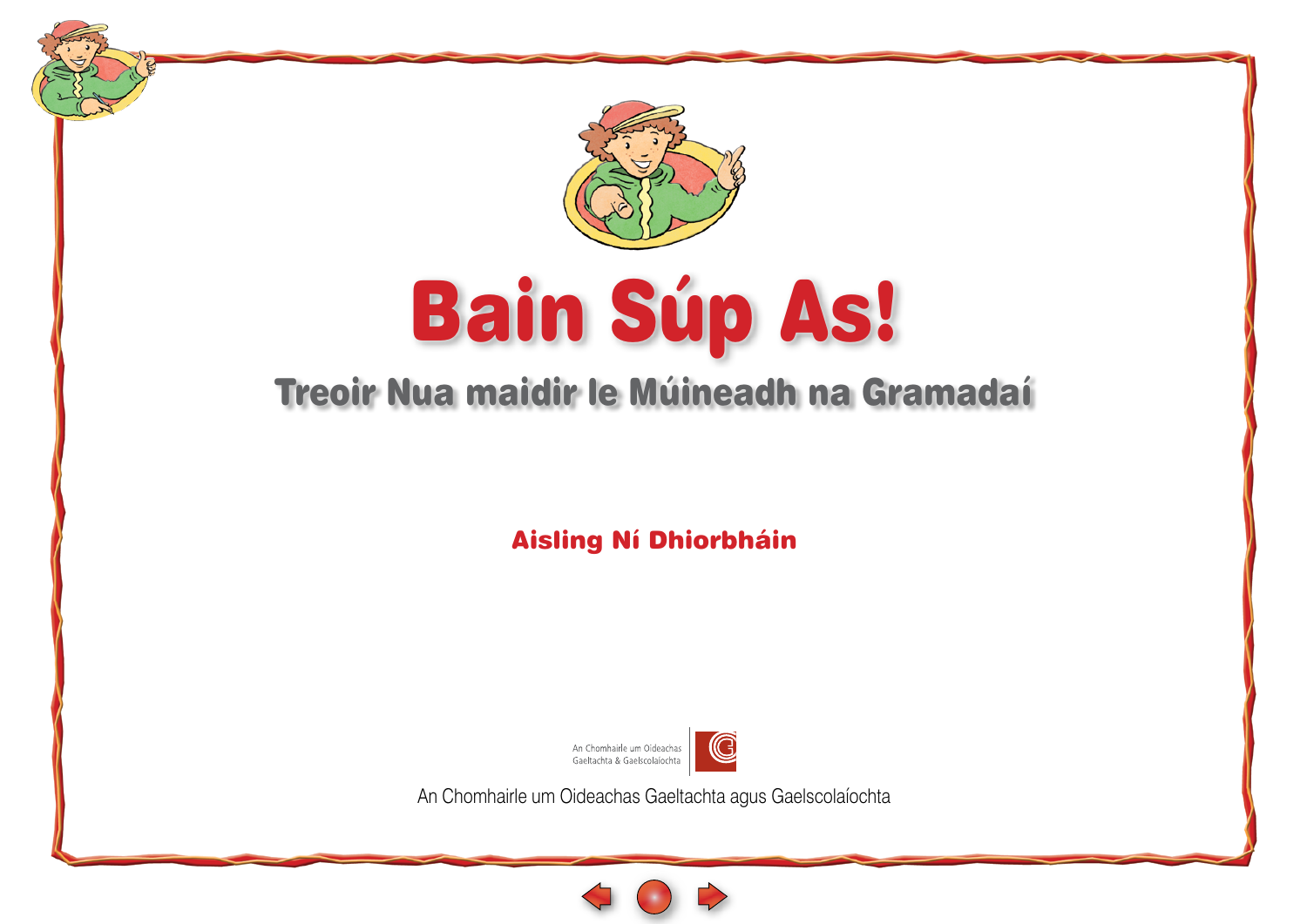

# Bain Súp As!

### <span id="page-0-0"></span>Treoir Nua maidir le Múineadh na Gramadaí

Aisling Ní Dhiorbháin



An Chomhairle um Oideachas Gaeltachta agus Gaelscolaíochta

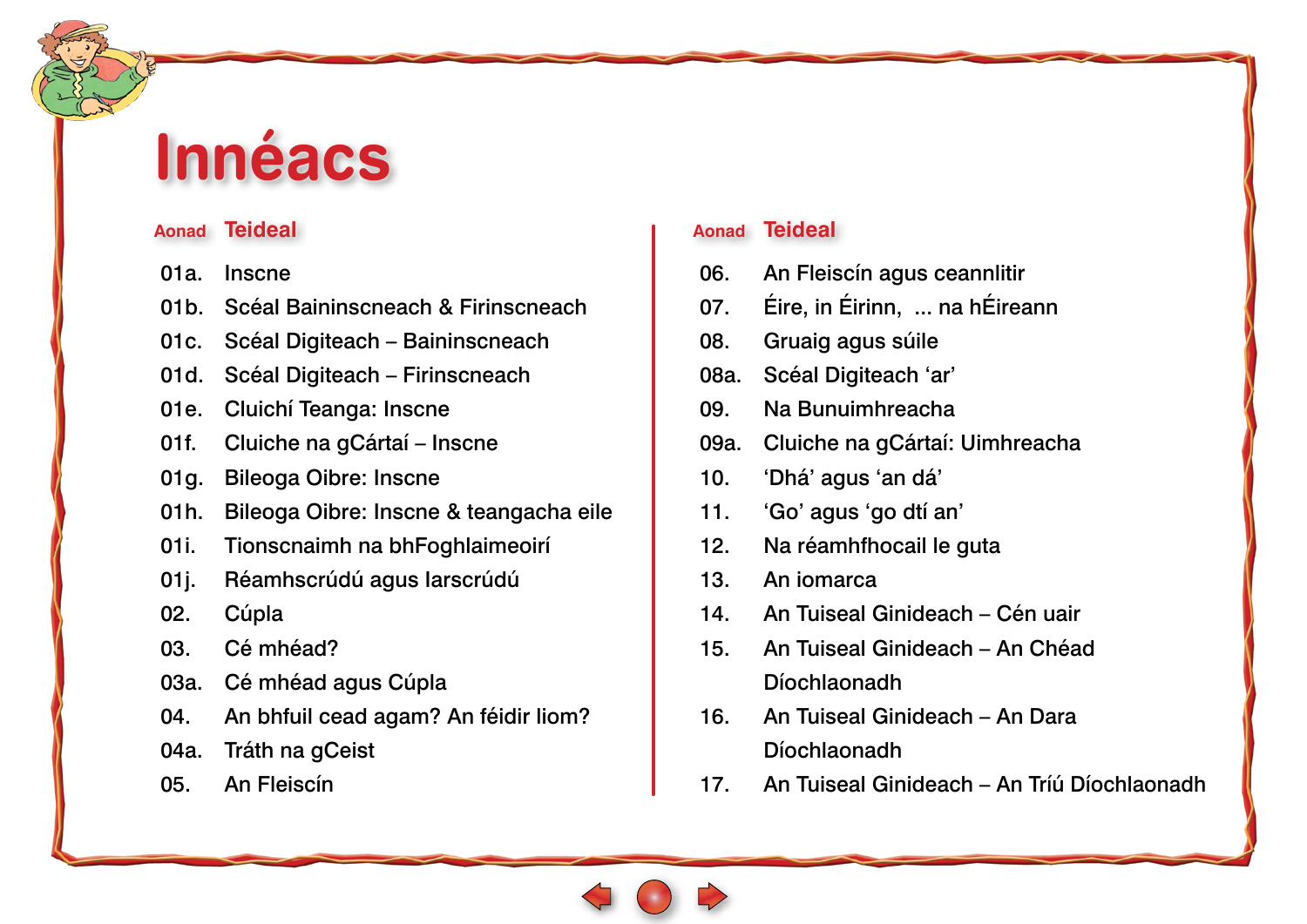## **Innéacs**

#### **Aonad Teideal**

- 01a. [Inscne](#page-0-0)
- 01b. [Scéal Baininscneach & Firinscneach](#page-0-0)
- 01c. [Scéal Digiteach Baininscneach](#page-0-0)
- 01d. [Scéal Digiteach Firinscneach](#page-0-0)
- 01e. [Cluichí Teanga: Inscne](#page-0-0)
- 01f. [Cluiche na](#page-0-0) gCártaí Inscne
- 01g. [Bileoga Oibre: Inscne](#page-0-0)
- 01h. [Bileoga Oibre: Inscne & teangacha eile](#page-0-0)
- 01i. [Tionscnaimh na bhFoghlaimeoirí](#page-0-0)
- 01j. [Réamhscrúdú agus Iarscrúdú](#page-0-0)
- 02. [Cúpla](#page-0-0)
- 03. [Cé mhéad?](#page-0-0)
- 03a. [Cé mhéad agus Cúpla](#page-0-0)
- 04. [An bhfuil cead agam? An féidir liom?](#page-0-0)
- 04a. [Tráth na gCeist](#page-0-0)
- 05. [An Fleiscín](#page-0-0)

#### **Aonad Teideal**

- 06. [An Fleiscín agus ceannlitir](#page-0-0)
- 07. [Éire, in Éirinn, ... na hÉireann](#page-0-0)
- 08. [Gruaig agus súile](#page-0-0)
- 08a. [Scéal Digiteach 'ar'](#page-0-0)
- 09. [Na Bunuimhreacha](#page-0-0)
- 09a. [Cluiche na gCártaí: Uimhreacha](#page-0-0)
- 10. ['Dhá' agus 'an dá'](#page-0-0)
- 11. ['Go' agus 'go dtí an'](#page-0-0)
- 12. [Na réamhfhocail le guta](#page-0-0)
- 13. [An iomarca](#page-0-0)
- 14. [An Tuiseal Ginideach Cén uair](#page-0-0)
- 15. [An Tuiseal Ginideach An Chéad](#page-0-0)  Díochlaonadh
- 16. [An Tuiseal Ginideach An Dara](#page-0-0)  Díochlaonadh
- 17. [An Tuiseal Ginideach An Tríú Díochlaonadh](#page-0-0)

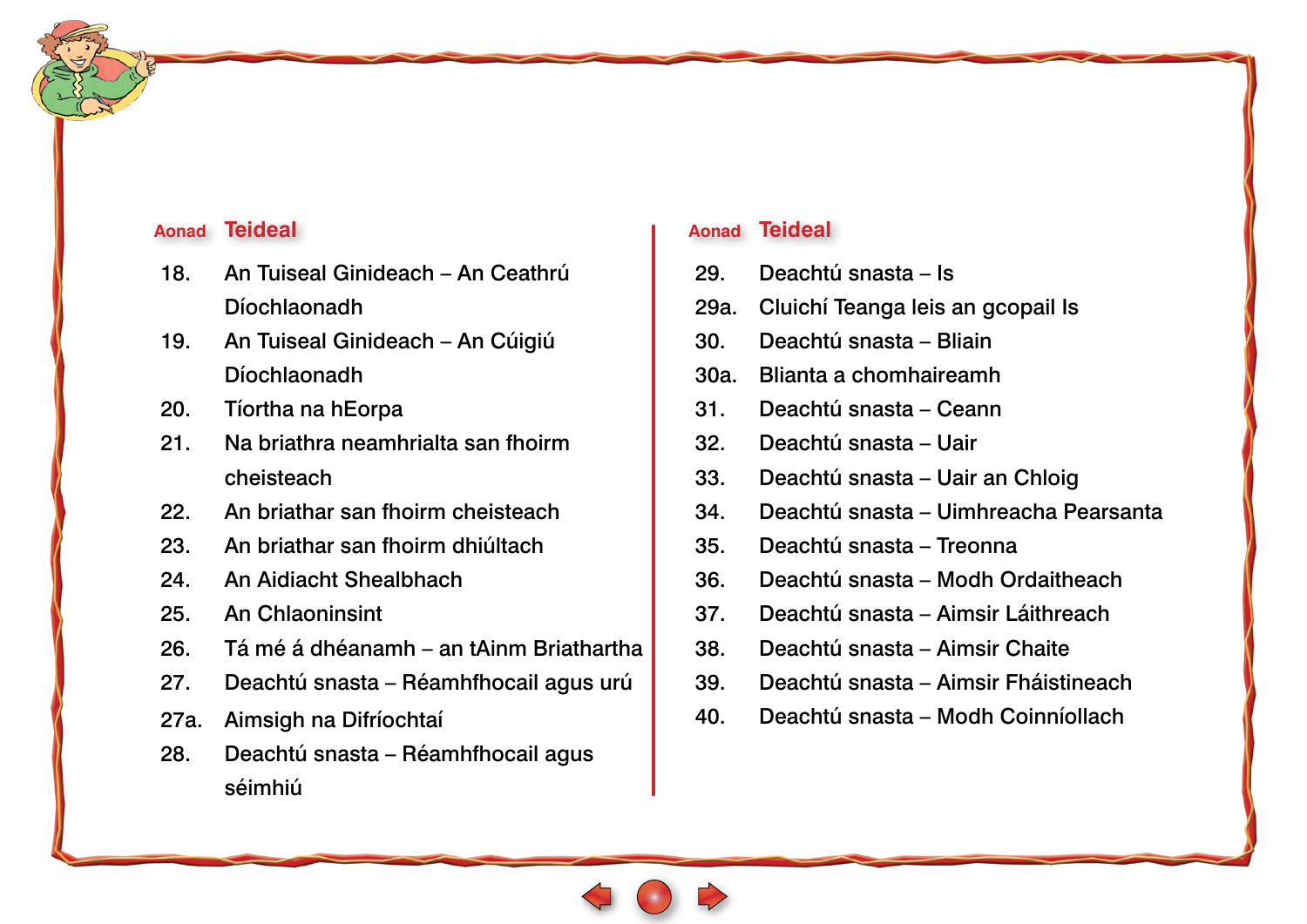#### **Aonad Teideal**

- 18. [An Tuiseal Ginideach An Ceathrú](#page-0-0)  Díochlaonadh
- 19. [An Tuiseal Ginideach An Cúigiú](#page-0-0)  Díochlaonadh
- 20. [Tíortha na hEorpa](#page-0-0)
- 21. [Na briathra neamhrialta san fhoirm](#page-0-0)  cheisteach
- 22. [An briathar san fhoirm cheisteach](#page-0-0)
- 23. [An briathar san fhoirm dhiúltach](#page-0-0)
- 24. [An Aidiacht Shealbhach](#page-0-0)
- 25. [An Chlaoninsint](#page-0-0)
- 26. [Tá mé á dhéanamh an tAinm Briathartha](#page-0-0)
- 27. [Deachtú snasta Réamhfhocail agus urú](#page-0-0)
- 27a. [Aimsigh na Difríochtaí](#page-0-0)
- 28. [Deachtú snasta Réamhfhocail agus](#page-0-0)  séimhiú

#### **Aonad Teideal**

- 29. [Deachtú snasta Is](#page-0-0)
- 29a. [Cluichí Teanga leis an gcopail Is](#page-0-0)
- 30. [Deachtú snasta Bliain](#page-0-0)
- 30a. [Blianta a chomhaireamh](#page-0-0)
- 31. [Deachtú snasta Ceann](#page-0-0)
- 32. [Deachtú snasta Uair](#page-0-0)
- 33. [Deachtú snasta Uair an Chloig](#page-0-0)
- 34. [Deachtú snasta Uimhreacha Pearsanta](#page-0-0)
- 35. [Deachtú snasta Treonna](#page-0-0)
- 36. [Deachtú snasta Modh Ordaitheach](#page-0-0)
- 37. [Deachtú snasta Aimsir Láithreach](#page-0-0)
- 38. [Deachtú snasta Aimsir Chaite](#page-0-0)
- 39. [Deachtú snasta Aimsir Fháistineach](#page-0-0)
- 40. [Deachtú snasta Modh Coinníollach](#page-0-0)